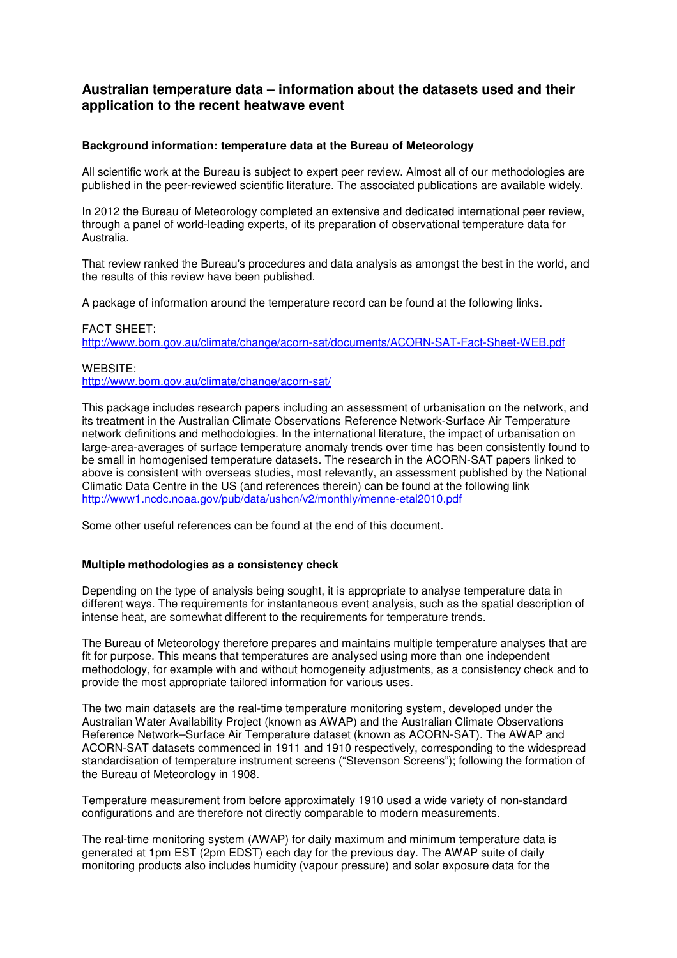# **Australian temperature data – information about the datasets used and their application to the recent heatwave event**

## **Background information: temperature data at the Bureau of Meteorology**

All scientific work at the Bureau is subject to expert peer review. Almost all of our methodologies are published in the peer-reviewed scientific literature. The associated publications are available widely.

In 2012 the Bureau of Meteorology completed an extensive and dedicated international peer review, through a panel of world-leading experts, of its preparation of observational temperature data for Australia.

That review ranked the Bureau's procedures and data analysis as amongst the best in the world, and the results of this review have been published.

A package of information around the temperature record can be found at the following links.

#### FACT SHEET:

http://www.bom.gov.au/climate/change/acorn-sat/documents/ACORN-SAT-Fact-Sheet-WEB.pdf

### WEBSITE:

http://www.bom.gov.au/climate/change/acorn-sat/

This package includes research papers including an assessment of urbanisation on the network, and its treatment in the Australian Climate Observations Reference Network-Surface Air Temperature network definitions and methodologies. In the international literature, the impact of urbanisation on large-area-averages of surface temperature anomaly trends over time has been consistently found to be small in homogenised temperature datasets. The research in the ACORN-SAT papers linked to above is consistent with overseas studies, most relevantly, an assessment published by the National Climatic Data Centre in the US (and references therein) can be found at the following link http://www1.ncdc.noaa.gov/pub/data/ushcn/v2/monthly/menne-etal2010.pdf

Some other useful references can be found at the end of this document.

### **Multiple methodologies as a consistency check**

Depending on the type of analysis being sought, it is appropriate to analyse temperature data in different ways. The requirements for instantaneous event analysis, such as the spatial description of intense heat, are somewhat different to the requirements for temperature trends.

The Bureau of Meteorology therefore prepares and maintains multiple temperature analyses that are fit for purpose. This means that temperatures are analysed using more than one independent methodology, for example with and without homogeneity adjustments, as a consistency check and to provide the most appropriate tailored information for various uses.

The two main datasets are the real-time temperature monitoring system, developed under the Australian Water Availability Project (known as AWAP) and the Australian Climate Observations Reference Network–Surface Air Temperature dataset (known as ACORN-SAT). The AWAP and ACORN-SAT datasets commenced in 1911 and 1910 respectively, corresponding to the widespread standardisation of temperature instrument screens ("Stevenson Screens"); following the formation of the Bureau of Meteorology in 1908.

Temperature measurement from before approximately 1910 used a wide variety of non-standard configurations and are therefore not directly comparable to modern measurements.

The real-time monitoring system (AWAP) for daily maximum and minimum temperature data is generated at 1pm EST (2pm EDST) each day for the previous day. The AWAP suite of daily monitoring products also includes humidity (vapour pressure) and solar exposure data for the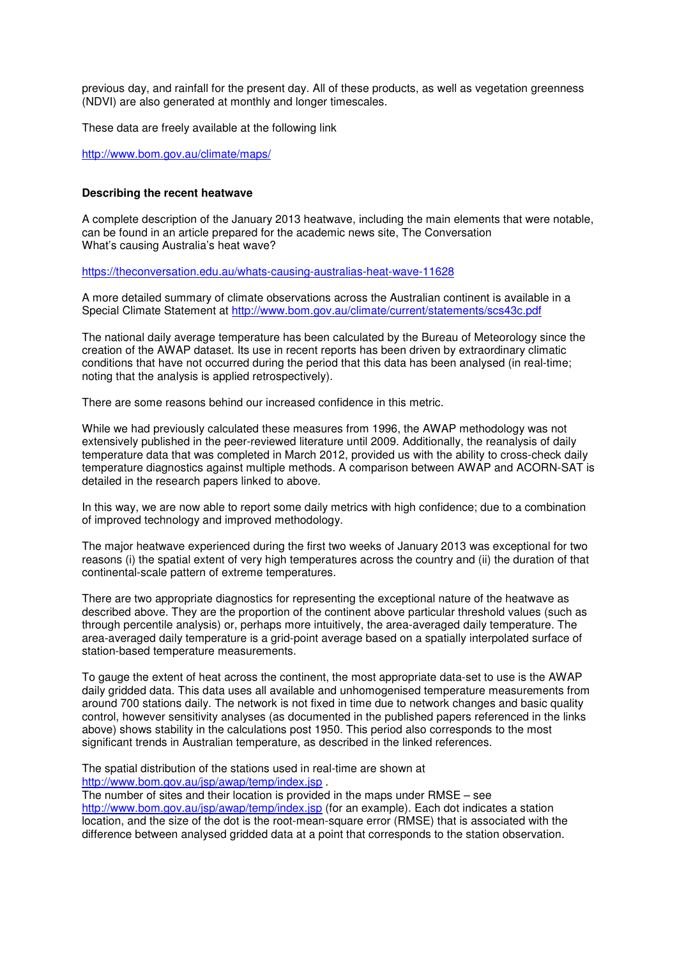previous day, and rainfall for the present day. All of these products, as well as vegetation greenness (NDVI) are also generated at monthly and longer timescales.

These data are freely available at the following link

http://www.bom.gov.au/climate/maps/

# **Describing the recent heatwave**

A complete description of the January 2013 heatwave, including the main elements that were notable, can be found in an article prepared for the academic news site, The Conversation What's causing Australia's heat wave?

https://theconversation.edu.au/whats-causing-australias-heat-wave-11628

A more detailed summary of climate observations across the Australian continent is available in a Special Climate Statement at http://www.bom.gov.au/climate/current/statements/scs43c.pdf

The national daily average temperature has been calculated by the Bureau of Meteorology since the creation of the AWAP dataset. Its use in recent reports has been driven by extraordinary climatic conditions that have not occurred during the period that this data has been analysed (in real-time; noting that the analysis is applied retrospectively).

There are some reasons behind our increased confidence in this metric.

While we had previously calculated these measures from 1996, the AWAP methodology was not extensively published in the peer-reviewed literature until 2009. Additionally, the reanalysis of daily temperature data that was completed in March 2012, provided us with the ability to cross-check daily temperature diagnostics against multiple methods. A comparison between AWAP and ACORN-SAT is detailed in the research papers linked to above.

In this way, we are now able to report some daily metrics with high confidence; due to a combination of improved technology and improved methodology.

The major heatwave experienced during the first two weeks of January 2013 was exceptional for two reasons (i) the spatial extent of very high temperatures across the country and (ii) the duration of that continental-scale pattern of extreme temperatures.

There are two appropriate diagnostics for representing the exceptional nature of the heatwave as described above. They are the proportion of the continent above particular threshold values (such as through percentile analysis) or, perhaps more intuitively, the area-averaged daily temperature. The area-averaged daily temperature is a grid-point average based on a spatially interpolated surface of station-based temperature measurements.

To gauge the extent of heat across the continent, the most appropriate data-set to use is the AWAP daily gridded data. This data uses all available and unhomogenised temperature measurements from around 700 stations daily. The network is not fixed in time due to network changes and basic quality control, however sensitivity analyses (as documented in the published papers referenced in the links above) shows stability in the calculations post 1950. This period also corresponds to the most significant trends in Australian temperature, as described in the linked references.

The spatial distribution of the stations used in real-time are shown at http://www.bom.gov.au/jsp/awap/temp/index.jsp .

The number of sites and their location is provided in the maps under RMSE – see http://www.bom.gov.au/jsp/awap/temp/index.jsp (for an example). Each dot indicates a station location, and the size of the dot is the root-mean-square error (RMSE) that is associated with the difference between analysed gridded data at a point that corresponds to the station observation.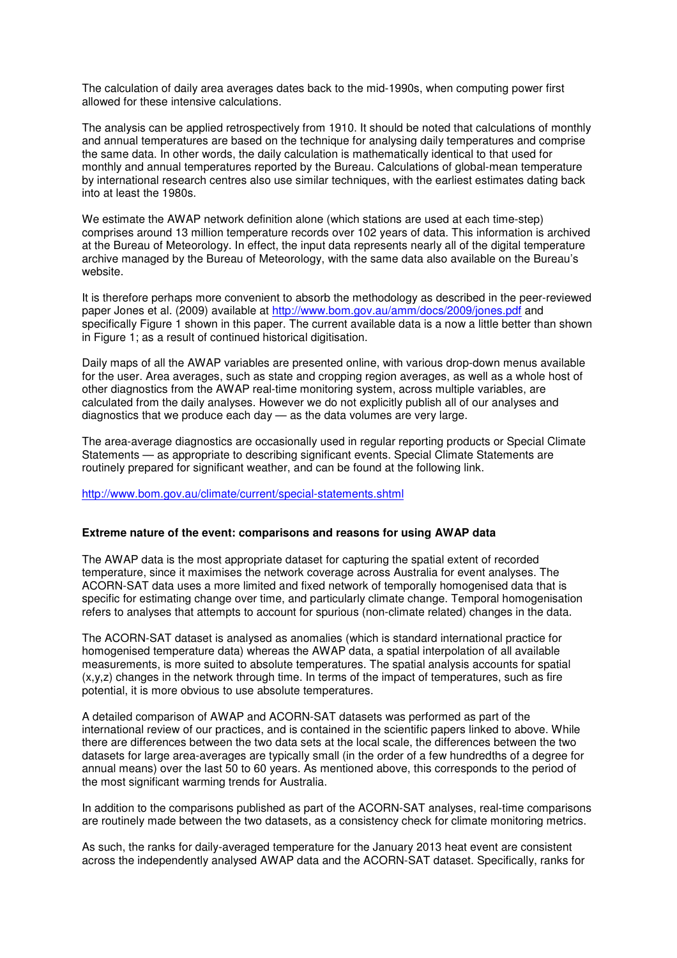The calculation of daily area averages dates back to the mid-1990s, when computing power first allowed for these intensive calculations.

The analysis can be applied retrospectively from 1910. It should be noted that calculations of monthly and annual temperatures are based on the technique for analysing daily temperatures and comprise the same data. In other words, the daily calculation is mathematically identical to that used for monthly and annual temperatures reported by the Bureau. Calculations of global-mean temperature by international research centres also use similar techniques, with the earliest estimates dating back into at least the 1980s.

We estimate the AWAP network definition alone (which stations are used at each time-step) comprises around 13 million temperature records over 102 years of data. This information is archived at the Bureau of Meteorology. In effect, the input data represents nearly all of the digital temperature archive managed by the Bureau of Meteorology, with the same data also available on the Bureau's website.

It is therefore perhaps more convenient to absorb the methodology as described in the peer-reviewed paper Jones et al. (2009) available at http://www.bom.gov.au/amm/docs/2009/jones.pdf and specifically Figure 1 shown in this paper. The current available data is a now a little better than shown in Figure 1; as a result of continued historical digitisation.

Daily maps of all the AWAP variables are presented online, with various drop-down menus available for the user. Area averages, such as state and cropping region averages, as well as a whole host of other diagnostics from the AWAP real-time monitoring system, across multiple variables, are calculated from the daily analyses. However we do not explicitly publish all of our analyses and diagnostics that we produce each day — as the data volumes are very large.

The area-average diagnostics are occasionally used in regular reporting products or Special Climate Statements — as appropriate to describing significant events. Special Climate Statements are routinely prepared for significant weather, and can be found at the following link.

http://www.bom.gov.au/climate/current/special-statements.shtml

### **Extreme nature of the event: comparisons and reasons for using AWAP data**

The AWAP data is the most appropriate dataset for capturing the spatial extent of recorded temperature, since it maximises the network coverage across Australia for event analyses. The ACORN-SAT data uses a more limited and fixed network of temporally homogenised data that is specific for estimating change over time, and particularly climate change. Temporal homogenisation refers to analyses that attempts to account for spurious (non-climate related) changes in the data.

The ACORN-SAT dataset is analysed as anomalies (which is standard international practice for homogenised temperature data) whereas the AWAP data, a spatial interpolation of all available measurements, is more suited to absolute temperatures. The spatial analysis accounts for spatial  $(x,y,z)$  changes in the network through time. In terms of the impact of temperatures, such as fire potential, it is more obvious to use absolute temperatures.

A detailed comparison of AWAP and ACORN-SAT datasets was performed as part of the international review of our practices, and is contained in the scientific papers linked to above. While there are differences between the two data sets at the local scale, the differences between the two datasets for large area-averages are typically small (in the order of a few hundredths of a degree for annual means) over the last 50 to 60 years. As mentioned above, this corresponds to the period of the most significant warming trends for Australia.

In addition to the comparisons published as part of the ACORN-SAT analyses, real-time comparisons are routinely made between the two datasets, as a consistency check for climate monitoring metrics.

As such, the ranks for daily-averaged temperature for the January 2013 heat event are consistent across the independently analysed AWAP data and the ACORN-SAT dataset. Specifically, ranks for